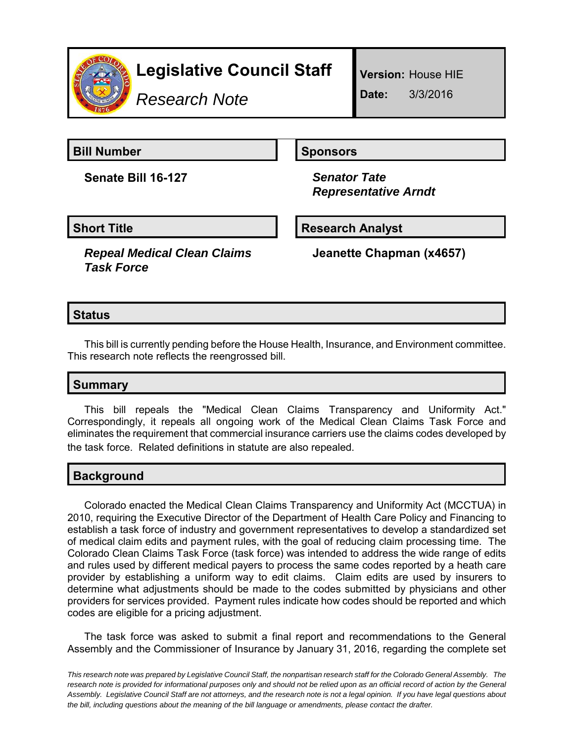

*Research Note*

**Version:** House HIE

**Date:** 3/3/2016

**Bill Number Sponsors** 

**Senate Bill 16-127** *Senator Tate*

 *Representative Arndt*

# **Short Title Community Community Community Research Analyst**

*Repeal Medical Clean Claims Task Force*

**Jeanette Chapman (x4657)**

# **Status**

This bill is currently pending before the House Health, Insurance, and Environment committee. This research note reflects the reengrossed bill.

## **Summary**

This bill repeals the "Medical Clean Claims Transparency and Uniformity Act." Correspondingly, it repeals all ongoing work of the Medical Clean Claims Task Force and eliminates the requirement that commercial insurance carriers use the claims codes developed by the task force. Related definitions in statute are also repealed.

## **Background**

Colorado enacted the Medical Clean Claims Transparency and Uniformity Act (MCCTUA) in 2010, requiring the Executive Director of the Department of Health Care Policy and Financing to establish a task force of industry and government representatives to develop a standardized set of medical claim edits and payment rules, with the goal of reducing claim processing time. The Colorado Clean Claims Task Force (task force) was intended to address the wide range of edits and rules used by different medical payers to process the same codes reported by a heath care provider by establishing a uniform way to edit claims. Claim edits are used by insurers to determine what adjustments should be made to the codes submitted by physicians and other providers for services provided. Payment rules indicate how codes should be reported and which codes are eligible for a pricing adjustment.

The task force was asked to submit a final report and recommendations to the General Assembly and the Commissioner of Insurance by January 31, 2016, regarding the complete set

*This research note was prepared by Legislative Council Staff, the nonpartisan research staff for the Colorado General Assembly. The research note is provided for informational purposes only and should not be relied upon as an official record of action by the General Assembly. Legislative Council Staff are not attorneys, and the research note is not a legal opinion. If you have legal questions about the bill, including questions about the meaning of the bill language or amendments, please contact the drafter.*